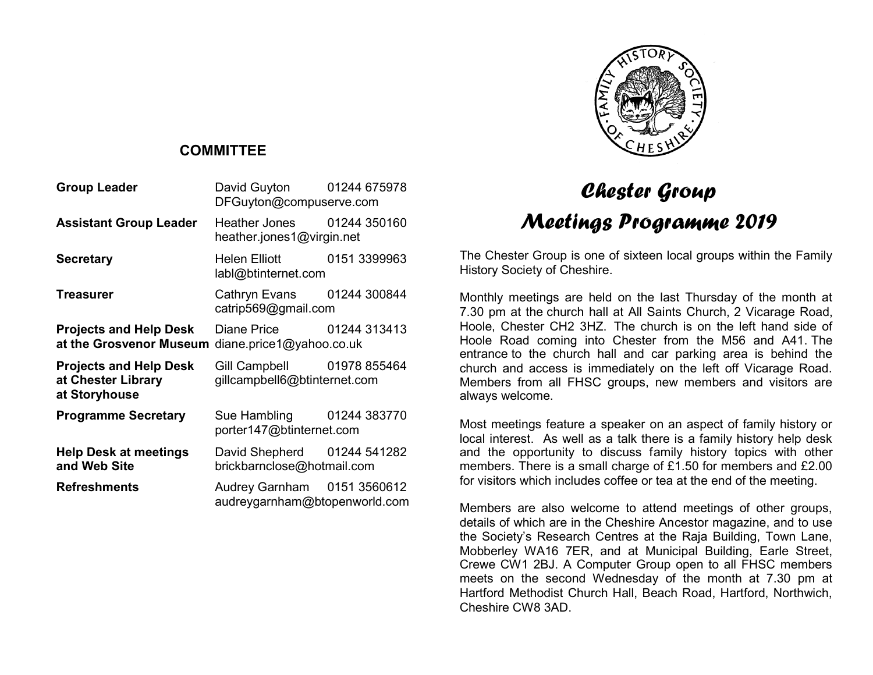

#### **COMMITTEE**

| <b>Group Leader</b>                                                  | David Guyton   01244 675978<br>DFGuyton@compuserve.com       |              |
|----------------------------------------------------------------------|--------------------------------------------------------------|--------------|
| Assistant Group Leader                                               | Heather Jones 01244 350160<br>heather.jones1@virgin.net      |              |
| Secretary                                                            | <b>Helen Elliott</b><br>labl@btinternet.com                  | 0151 3399963 |
| Treasurer                                                            | Cathryn Evans   01244 300844<br>catrip569@gmail.com          |              |
| <b>Projects and Help Desk</b><br>at the Grosvenor Museum             | Diane Price 01244 313413<br>diane.price1@yahoo.co.uk         |              |
| <b>Projects and Help Desk</b><br>at Chester Library<br>at Storyhouse | Gill Campbell 01978 855464<br>gillcampbell6@btinternet.com   |              |
| <b>Programme Secretary</b>                                           | Sue Hambling 01244 383770<br>porter147@btinternet.com        |              |
| <b>Help Desk at meetings</b><br>and Web Site                         | David Shepherd 01244 541282<br>brickbarnclose@hotmail.com    |              |
| <b>Refreshments</b>                                                  | Audrey Garnham 0151 3560612<br>audreygarnham@btopenworld.com |              |

# Chester Group Meetings Programme 2019

The Chester Group is one of sixteen local groups within the Family History Society of Cheshire.

Monthly meetings are held on the last Thursday of the month at 7.30 pm at the church hall at All Saints Church, 2 Vicarage Road, Hoole, Chester CH2 3HZ. The church is on the left hand side of Hoole Road coming into Chester from the M56 and A41. The entrance to the church hall and car parking area is behind the church and access is immediately on the left off Vicarage Road. Members from all FHSC groups, new members and visitors are always welcome.

Most meetings feature a speaker on an aspect of family history or local interest. As well as a talk there is a family history help desk and the opportunity to discuss family history topics with other members. There is a small charge of £1.50 for members and £2.00 for visitors which includes coffee or tea at the end of the meeting.

Members are also welcome to attend meetings of other groups, details of which are in the Cheshire Ancestor magazine, and to use the Society's Research Centres at the Raja Building, Town Lane, Mobberley WA16 7ER, and at Municipal Building, Earle Street, Crewe CW1 2BJ. A Computer Group open to all FHSC members meets on the second Wednesday of the month at 7.30 pm at Hartford Methodist Church Hall, Beach Road, Hartford, Northwich, Cheshire CW8 3AD.